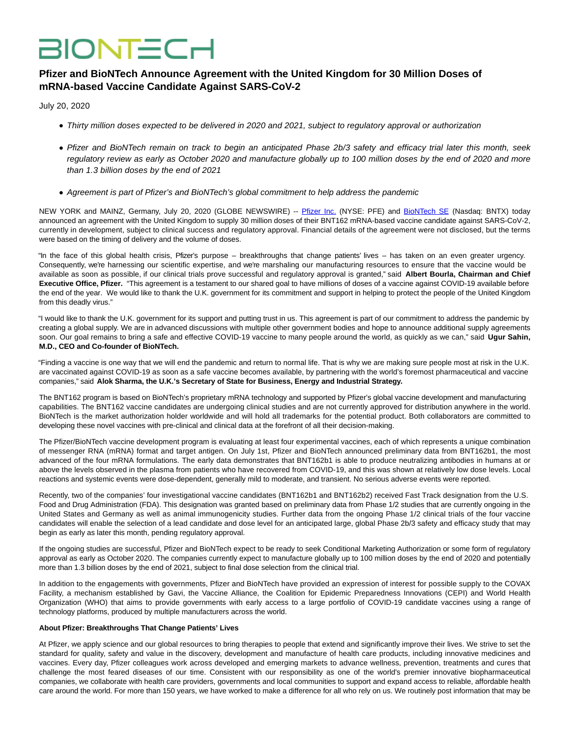# **BIONTECH**

## **Pfizer and BioNTech Announce Agreement with the United Kingdom for 30 Million Doses of mRNA-based Vaccine Candidate Against SARS-CoV-2**

July 20, 2020

- Thirty million doses expected to be delivered in 2020 and 2021, subject to regulatory approval or authorization
- Pfizer and BioNTech remain on track to begin an anticipated Phase 2b/3 safety and efficacy trial later this month, seek regulatory review as early as October 2020 and manufacture globally up to 100 million doses by the end of 2020 and more than 1.3 billion doses by the end of 2021
- Agreement is part of Pfizer's and BioNTech's global commitment to help address the pandemic

NEW YORK and MAINZ, Germany, July 20, 2020 (GLOBE NEWSWIRE) -- [Pfizer Inc.](https://www.globenewswire.com/Tracker?data=JV4-DhejfriSLCCe2XoEzmv3tr6X4HoLKIe9cumPfcfLxbK-b7ladkVA7r5fbaysvgg2kj5KMWEksaHLKhcdhA==) (NYSE: PFE) and [BioNTech SE](https://www.globenewswire.com/Tracker?data=YiKwhvgmHsRe2D4dmHmNBEfonDedesRmqYanlXE2SlTJSyinPoUReTyYGqnfIRqPHuKA_3jf5flaEFHooqkBPA==) (Nasdaq: BNTX) todav announced an agreement with the United Kingdom to supply 30 million doses of their BNT162 mRNA-based vaccine candidate against SARS-CoV-2, currently in development, subject to clinical success and regulatory approval. Financial details of the agreement were not disclosed, but the terms were based on the timing of delivery and the volume of doses.

"In the face of this global health crisis, Pfizer's purpose – breakthroughs that change patients' lives – has taken on an even greater urgency. Consequently, we're harnessing our scientific expertise, and we're marshaling our manufacturing resources to ensure that the vaccine would be available as soon as possible, if our clinical trials prove successful and regulatory approval is granted," said **Albert Bourla, Chairman and Chief Executive Office, Pfizer.** "This agreement is a testament to our shared goal to have millions of doses of a vaccine against COVID-19 available before the end of the year. We would like to thank the U.K. government for its commitment and support in helping to protect the people of the United Kingdom from this deadly virus."

"I would like to thank the U.K. government for its support and putting trust in us. This agreement is part of our commitment to address the pandemic by creating a global supply. We are in advanced discussions with multiple other government bodies and hope to announce additional supply agreements soon. Our goal remains to bring a safe and effective COVID-19 vaccine to many people around the world, as quickly as we can," said **Ugur Sahin, M.D., CEO and Co-founder of BioNTech.**

"Finding a vaccine is one way that we will end the pandemic and return to normal life. That is why we are making sure people most at risk in the U.K. are vaccinated against COVID-19 as soon as a safe vaccine becomes available, by partnering with the world's foremost pharmaceutical and vaccine companies," said **Alok Sharma, the U.K.'s Secretary of State for Business, Energy and Industrial Strategy.**

The BNT162 program is based on BioNTech's proprietary mRNA technology and supported by Pfizer's global vaccine development and manufacturing capabilities. The BNT162 vaccine candidates are undergoing clinical studies and are not currently approved for distribution anywhere in the world. BioNTech is the market authorization holder worldwide and will hold all trademarks for the potential product. Both collaborators are committed to developing these novel vaccines with pre-clinical and clinical data at the forefront of all their decision-making.

The Pfizer/BioNTech vaccine development program is evaluating at least four experimental vaccines, each of which represents a unique combination of messenger RNA (mRNA) format and target antigen. On July 1st, Pfizer and BioNTech announced preliminary data from BNT162b1, the most advanced of the four mRNA formulations. The early data demonstrates that BNT162b1 is able to produce neutralizing antibodies in humans at or above the levels observed in the plasma from patients who have recovered from COVID-19, and this was shown at relatively low dose levels. Local reactions and systemic events were dose-dependent, generally mild to moderate, and transient. No serious adverse events were reported.

Recently, two of the companies' four investigational vaccine candidates (BNT162b1 and BNT162b2) received Fast Track designation from the U.S. Food and Drug Administration (FDA). This designation was granted based on preliminary data from Phase 1/2 studies that are currently ongoing in the United States and Germany as well as animal immunogenicity studies. Further data from the ongoing Phase 1/2 clinical trials of the four vaccine candidates will enable the selection of a lead candidate and dose level for an anticipated large, global Phase 2b/3 safety and efficacy study that may begin as early as later this month, pending regulatory approval.

If the ongoing studies are successful, Pfizer and BioNTech expect to be ready to seek Conditional Marketing Authorization or some form of regulatory approval as early as October 2020. The companies currently expect to manufacture globally up to 100 million doses by the end of 2020 and potentially more than 1.3 billion doses by the end of 2021, subject to final dose selection from the clinical trial.

In addition to the engagements with governments, Pfizer and BioNTech have provided an expression of interest for possible supply to the COVAX Facility, a mechanism established by Gavi, the Vaccine Alliance, the Coalition for Epidemic Preparedness Innovations (CEPI) and World Health Organization (WHO) that aims to provide governments with early access to a large portfolio of COVID-19 candidate vaccines using a range of technology platforms, produced by multiple manufacturers across the world.

### **About Pfizer: Breakthroughs That Change Patients' Lives**

At Pfizer, we apply science and our global resources to bring therapies to people that extend and significantly improve their lives. We strive to set the standard for quality, safety and value in the discovery, development and manufacture of health care products, including innovative medicines and vaccines. Every day, Pfizer colleagues work across developed and emerging markets to advance wellness, prevention, treatments and cures that challenge the most feared diseases of our time. Consistent with our responsibility as one of the world's premier innovative biopharmaceutical companies, we collaborate with health care providers, governments and local communities to support and expand access to reliable, affordable health care around the world. For more than 150 years, we have worked to make a difference for all who rely on us. We routinely post information that may be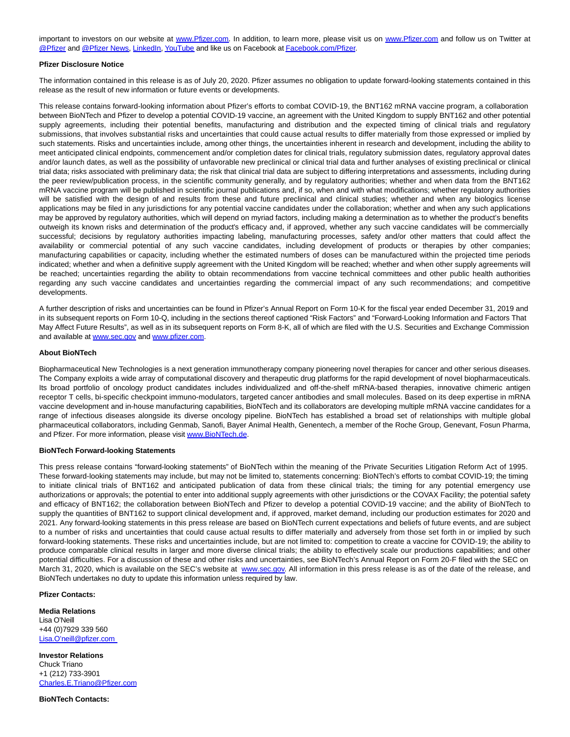important to investors on our website at [www.Pfizer.com.](https://www.globenewswire.com/Tracker?data=SwuYFC81GURvS2H5ySMLAmZzR9H15na2cZ2PlP2yRkSCKsgTdymSPMOGqHTZitMklE1II1_HWWxCSlIzIUU5Qw==) In addition, to learn more, please visit us on [www.Pfizer.com a](https://www.globenewswire.com/Tracker?data=SwuYFC81GURvS2H5ySMLAjjAivGsBq4uwOtL3loURpYWZnT0j_b9en_bEUXz-eszOh0fkfbOXgCkTRKYjwWExg==)nd follow us on Twitter at [@Pfizer a](https://www.globenewswire.com/Tracker?data=8aZvZv5Ksx30i_y5-7vQO9qGvCtrB_m5u9AMQ2tQtacIzYcVFzZmGvzm44GwTBE2Hfvg11pVUlOtVmJPELhjVQ==)nd [@Pfizer News,](https://www.globenewswire.com/Tracker?data=8aZvZv5Ksx30i_y5-7vQO05EcB_NGgpH0oeywtHc6C8NtnKIdfVEwX9TrYd2sg9g3W_6I8HdiV4BFhkXOLObgDcOyH3Uffnxb7T5yf90J5A=) [LinkedIn,](https://www.globenewswire.com/Tracker?data=npQBUQ7-fAFjQONxSwHk4bLZE7IQSwzdgo_7Kr15s9BYATuwNy8RTdqEk_reNKnlvPfcEUzAkqqTQBKEgNQu69MnHnK438GdfzPhYKkU1as=) [YouTube a](https://www.globenewswire.com/Tracker?data=vkxaRYqbeSaIWiz0hN3OAT1jXurwU_WbLYIB8TfAkaOIwsmYWwX5iwDTOFiEJu_riyHFvKuD28Ov29WsrbINEw==)nd like us on Facebook a[t Facebook.com/Pfizer.](https://www.globenewswire.com/Tracker?data=PzxZ6OnOsDsaboyN76FNK0Vto7J0TrAoJ_pFfJdPYX0CDwcmHINL-ufH8qCIf2j-b0bOjOegp-w6_7wnimoFJqt09PNvQQkrx2YD56pB88g=)

#### **Pfizer Disclosure Notice**

The information contained in this release is as of July 20, 2020. Pfizer assumes no obligation to update forward-looking statements contained in this release as the result of new information or future events or developments.

This release contains forward-looking information about Pfizer's efforts to combat COVID-19, the BNT162 mRNA vaccine program, a collaboration between BioNTech and Pfizer to develop a potential COVID-19 vaccine, an agreement with the United Kingdom to supply BNT162 and other potential supply agreements, including their potential benefits, manufacturing and distribution and the expected timing of clinical trials and regulatory submissions, that involves substantial risks and uncertainties that could cause actual results to differ materially from those expressed or implied by such statements. Risks and uncertainties include, among other things, the uncertainties inherent in research and development, including the ability to meet anticipated clinical endpoints, commencement and/or completion dates for clinical trials, regulatory submission dates, regulatory approval dates and/or launch dates, as well as the possibility of unfavorable new preclinical or clinical trial data and further analyses of existing preclinical or clinical trial data; risks associated with preliminary data; the risk that clinical trial data are subject to differing interpretations and assessments, including during the peer review/publication process, in the scientific community generally, and by regulatory authorities; whether and when data from the BNT162 mRNA vaccine program will be published in scientific journal publications and, if so, when and with what modifications; whether regulatory authorities will be satisfied with the design of and results from these and future preclinical and clinical studies; whether and when any biologics license applications may be filed in any jurisdictions for any potential vaccine candidates under the collaboration; whether and when any such applications may be approved by regulatory authorities, which will depend on myriad factors, including making a determination as to whether the product's benefits outweigh its known risks and determination of the product's efficacy and, if approved, whether any such vaccine candidates will be commercially successful; decisions by regulatory authorities impacting labeling, manufacturing processes, safety and/or other matters that could affect the availability or commercial potential of any such vaccine candidates, including development of products or therapies by other companies; manufacturing capabilities or capacity, including whether the estimated numbers of doses can be manufactured within the projected time periods indicated; whether and when a definitive supply agreement with the United Kingdom will be reached; whether and when other supply agreements will be reached; uncertainties regarding the ability to obtain recommendations from vaccine technical committees and other public health authorities regarding any such vaccine candidates and uncertainties regarding the commercial impact of any such recommendations; and competitive developments.

A further description of risks and uncertainties can be found in Pfizer's Annual Report on Form 10-K for the fiscal year ended December 31, 2019 and in its subsequent reports on Form 10-Q, including in the sections thereof captioned "Risk Factors" and "Forward-Looking Information and Factors That May Affect Future Results", as well as in its subsequent reports on Form 8-K, all of which are filed with the U.S. Securities and Exchange Commission and available at [www.sec.gov a](https://www.globenewswire.com/Tracker?data=GnRopopGQjiqFTqMHhwQpTrorsAlOdOmH0FLrz5e90jlj6CvrSDsjwq4dLZeZYoAKuEGNQV7G3kMSXNS3ZJ6iw==)nd [www.pfizer.com.](https://www.globenewswire.com/Tracker?data=p4I_thWNGly5Y9WNLWDRNrItn1cS2IUGjI_gouYoqFglGrtPfG3hR4jom6paodfhDNH00V5oN9Tc79eQRq2pbw==)

#### **About BioNTech**

Biopharmaceutical New Technologies is a next generation immunotherapy company pioneering novel therapies for cancer and other serious diseases. The Company exploits a wide array of computational discovery and therapeutic drug platforms for the rapid development of novel biopharmaceuticals. Its broad portfolio of oncology product candidates includes individualized and off-the-shelf mRNA-based therapies, innovative chimeric antigen receptor T cells, bi-specific checkpoint immuno-modulators, targeted cancer antibodies and small molecules. Based on its deep expertise in mRNA vaccine development and in-house manufacturing capabilities, BioNTech and its collaborators are developing multiple mRNA vaccine candidates for a range of infectious diseases alongside its diverse oncology pipeline. BioNTech has established a broad set of relationships with multiple global pharmaceutical collaborators, including Genmab, Sanofi, Bayer Animal Health, Genentech, a member of the Roche Group, Genevant, Fosun Pharma, and Pfizer. For more information, please visi[t www.BioNTech.de.](https://www.globenewswire.com/Tracker?data=n_EHrkM9Y3UE64pboVn7pjeWWHMaUvpv3VOvzGZ9N60Fcb8QT8pyOZgtbnrmw9KEPzM5-Vsm_qYOV3zDbmamaA==)

#### **BioNTech Forward-looking Statements**

This press release contains "forward-looking statements" of BioNTech within the meaning of the Private Securities Litigation Reform Act of 1995. These forward-looking statements may include, but may not be limited to, statements concerning: BioNTech's efforts to combat COVID-19; the timing to initiate clinical trials of BNT162 and anticipated publication of data from these clinical trials; the timing for any potential emergency use authorizations or approvals; the potential to enter into additional supply agreements with other jurisdictions or the COVAX Facility; the potential safety and efficacy of BNT162; the collaboration between BioNTech and Pfizer to develop a potential COVID-19 vaccine; and the ability of BioNTech to supply the quantities of BNT162 to support clinical development and, if approved, market demand, including our production estimates for 2020 and 2021. Any forward-looking statements in this press release are based on BioNTech current expectations and beliefs of future events, and are subject to a number of risks and uncertainties that could cause actual results to differ materially and adversely from those set forth in or implied by such forward-looking statements. These risks and uncertainties include, but are not limited to: competition to create a vaccine for COVID-19; the ability to produce comparable clinical results in larger and more diverse clinical trials; the ability to effectively scale our productions capabilities; and other potential difficulties. For a discussion of these and other risks and uncertainties, see BioNTech's Annual Report on Form 20-F filed with the SEC on March 31, 2020, which is available on the SEC's website at [www.sec.gov.](https://www.globenewswire.com/Tracker?data=GnRopopGQjiqFTqMHhwQpeE-YhVrfQaptULUN-yZmc7qbA683oJtr8cdFmhvPNotod1W7yHNxpARdvTzGNtnzQ==) All information in this press release is as of the date of the release, and BioNTech undertakes no duty to update this information unless required by law.

**Pfizer Contacts:**

**Media Relations** Lisa O'Neill +44 (0)7929 339 560 [Lisa.O'neill@pfizer.com](https://www.globenewswire.com/Tracker?data=NrDO6xT6-5-5XQKZZ_X286JkAW70LaXmqHkAJmxojWNBMwr5xzL1YuEVbiSloUALRLtkgx9jBsCN5sNPHOLWifWRRMvhOnvpN9jjb4xViDY=)

**Investor Relations** Chuck Triano +1 (212) 733-3901 [Charles.E.Triano@Pfizer.com](https://www.globenewswire.com/Tracker?data=pJHgq1kNyI7KABp-lJskXZuqtqtrJIwe9qYY57bv0q8o7wUaTn4wpIKMxv-Nimq8mTWRIcSfDluXoXewwC4Qo5_nlSdpE9ga3uh8P7HzDskDaBmYBD7x8389le0P4yeu)

**BioNTech Contacts:**